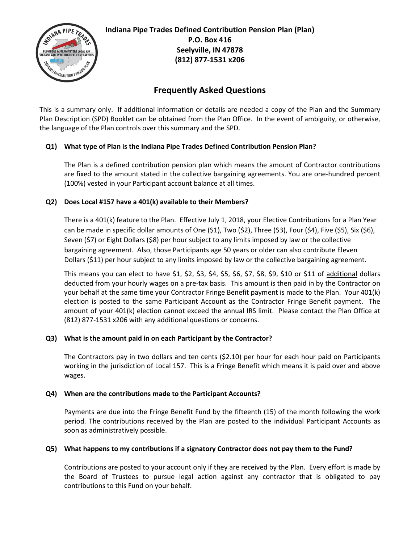

**Indiana Pipe Trades Defined Contribution Pension Plan (Plan) P.O. Box 416 Seelyville, IN 47878 (812) 877-1531 x206**

# **Frequently Asked Questions**

This is a summary only. If additional information or details are needed a copy of the Plan and the Summary Plan Description (SPD) Booklet can be obtained from the Plan Office. In the event of ambiguity, or otherwise, the language of the Plan controls over this summary and the SPD.

## **Q1) What type of Plan is the Indiana Pipe Trades Defined Contribution Pension Plan?**

The Plan is a defined contribution pension plan which means the amount of Contractor contributions are fixed to the amount stated in the collective bargaining agreements. You are one-hundred percent (100%) vested in your Participant account balance at all times.

## **Q2) Does Local #157 have a 401(k) available to their Members?**

There is a 401(k) feature to the Plan. Effective July 1, 2018, your Elective Contributions for a Plan Year can be made in specific dollar amounts of One (\$1), Two (\$2), Three (\$3), Four (\$4), Five (\$5), Six (\$6), Seven (\$7) or Eight Dollars (\$8) per hour subject to any limits imposed by law or the collective bargaining agreement. Also, those Participants age 50 years or older can also contribute Eleven Dollars (\$11) per hour subject to any limits imposed by law or the collective bargaining agreement.

This means you can elect to have \$1, \$2, \$3, \$4, \$5, \$6, \$7, \$8, \$9, \$10 or \$11 of additional dollars deducted from your hourly wages on a pre-tax basis. This amount is then paid in by the Contractor on your behalf at the same time your Contractor Fringe Benefit payment is made to the Plan. Your 401(k) election is posted to the same Participant Account as the Contractor Fringe Benefit payment. The amount of your 401(k) election cannot exceed the annual IRS limit. Please contact the Plan Office at (812) 877-1531 x206 with any additional questions or concerns.

## **Q3) What is the amount paid in on each Participant by the Contractor?**

The Contractors pay in two dollars and ten cents (\$2.10) per hour for each hour paid on Participants working in the jurisdiction of Local 157. This is a Fringe Benefit which means it is paid over and above wages.

## **Q4) When are the contributions made to the Participant Accounts?**

Payments are due into the Fringe Benefit Fund by the fifteenth (15) of the month following the work period. The contributions received by the Plan are posted to the individual Participant Accounts as soon as administratively possible.

## **Q5) What happens to my contributions if a signatory Contractor does not pay them to the Fund?**

Contributions are posted to your account only if they are received by the Plan. Every effort is made by the Board of Trustees to pursue legal action against any contractor that is obligated to pay contributions to this Fund on your behalf.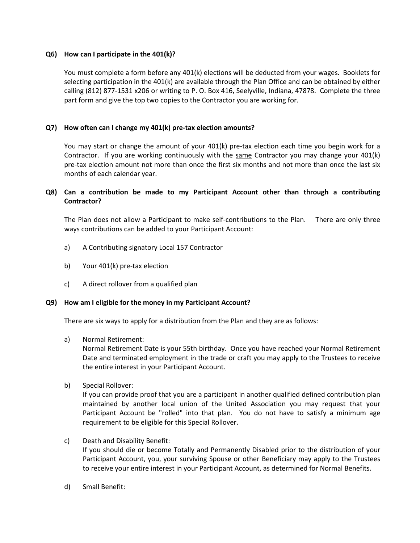## **Q6) How can I participate in the 401(k)?**

You must complete a form before any 401(k) elections will be deducted from your wages. Booklets for selecting participation in the 401(k) are available through the Plan Office and can be obtained by either calling (812) 877-1531 x206 or writing to P. O. Box 416, Seelyville, Indiana, 47878. Complete the three part form and give the top two copies to the Contractor you are working for.

## **Q7) How often can I change my 401(k) pre-tax election amounts?**

You may start or change the amount of your 401(k) pre-tax election each time you begin work for a Contractor. If you are working continuously with the same Contractor you may change your 401(k) pre-tax election amount not more than once the first six months and not more than once the last six months of each calendar year.

## **Q8) Can a contribution be made to my Participant Account other than through a contributing Contractor?**

The Plan does not allow a Participant to make self-contributions to the Plan. There are only three ways contributions can be added to your Participant Account:

- a) A Contributing signatory Local 157 Contractor
- b) Your 401(k) pre-tax election
- c) A direct rollover from a qualified plan

## **Q9) How am I eligible for the money in my Participant Account?**

There are six ways to apply for a distribution from the Plan and they are as follows:

a) Normal Retirement:

Normal Retirement Date is your 55th birthday. Once you have reached your Normal Retirement Date and terminated employment in the trade or craft you may apply to the Trustees to receive the entire interest in your Participant Account.

b) Special Rollover:

If you can provide proof that you are a participant in another qualified defined contribution plan maintained by another local union of the United Association you may request that your Participant Account be "rolled" into that plan. You do not have to satisfy a minimum age requirement to be eligible for this Special Rollover.

c) Death and Disability Benefit:

If you should die or become Totally and Permanently Disabled prior to the distribution of your Participant Account, you, your surviving Spouse or other Beneficiary may apply to the Trustees to receive your entire interest in your Participant Account, as determined for Normal Benefits.

d) Small Benefit: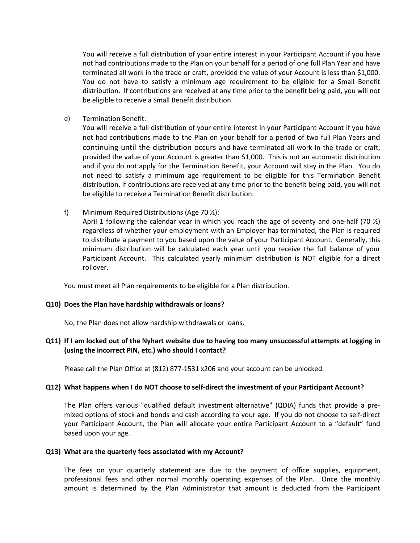You will receive a full distribution of your entire interest in your Participant Account if you have not had contributions made to the Plan on your behalf for a period of one full Plan Year and have terminated all work in the trade or craft, provided the value of your Account is less than \$1,000. You do not have to satisfy a minimum age requirement to be eligible for a Small Benefit distribution. If contributions are received at any time prior to the benefit being paid, you will not be eligible to receive a Small Benefit distribution.

e) Termination Benefit:

You will receive a full distribution of your entire interest in your Participant Account if you have not had contributions made to the Plan on your behalf for a period of two full Plan Years and continuing until the distribution occurs and have terminated all work in the trade or craft, provided the value of your Account is greater than \$1,000. This is not an automatic distribution and if you do not apply for the Termination Benefit, your Account will stay in the Plan. You do not need to satisfy a minimum age requirement to be eligible for this Termination Benefit distribution. If contributions are received at any time prior to the benefit being paid, you will not be eligible to receive a Termination Benefit distribution.

f) Minimum Required Distributions (Age 70 ½):

April 1 following the calendar year in which you reach the age of seventy and one-half (70  $\frac{1}{2}$ ) regardless of whether your employment with an Employer has terminated, the Plan is required to distribute a payment to you based upon the value of your Participant Account. Generally, this minimum distribution will be calculated each year until you receive the full balance of your Participant Account. This calculated yearly minimum distribution is NOT eligible for a direct rollover.

You must meet all Plan requirements to be eligible for a Plan distribution.

#### **Q10) Does the Plan have hardship withdrawals or loans?**

No, the Plan does not allow hardship withdrawals or loans.

## **Q11) If I am locked out of the Nyhart website due to having too many unsuccessful attempts at logging in (using the incorrect PIN, etc.) who should I contact?**

Please call the Plan Office at (812) 877-1531 x206 and your account can be unlocked.

#### **Q12) What happens when I do NOT choose to self-direct the investment of your Participant Account?**

The Plan offers various "qualified default investment alternative" (QDIA) funds that provide a premixed options of stock and bonds and cash according to your age. If you do not choose to self-direct your Participant Account, the Plan will allocate your entire Participant Account to a "default" fund based upon your age.

#### **Q13) What are the quarterly fees associated with my Account?**

The fees on your quarterly statement are due to the payment of office supplies, equipment, professional fees and other normal monthly operating expenses of the Plan. Once the monthly amount is determined by the Plan Administrator that amount is deducted from the Participant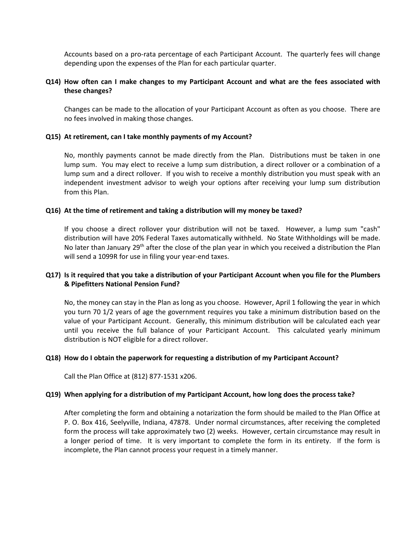Accounts based on a pro-rata percentage of each Participant Account. The quarterly fees will change depending upon the expenses of the Plan for each particular quarter.

## **Q14) How often can I make changes to my Participant Account and what are the fees associated with these changes?**

Changes can be made to the allocation of your Participant Account as often as you choose. There are no fees involved in making those changes.

#### **Q15) At retirement, can I take monthly payments of my Account?**

No, monthly payments cannot be made directly from the Plan. Distributions must be taken in one lump sum. You may elect to receive a lump sum distribution, a direct rollover or a combination of a lump sum and a direct rollover. If you wish to receive a monthly distribution you must speak with an independent investment advisor to weigh your options after receiving your lump sum distribution from this Plan.

#### **Q16) At the time of retirement and taking a distribution will my money be taxed?**

If you choose a direct rollover your distribution will not be taxed. However, a lump sum "cash" distribution will have 20% Federal Taxes automatically withheld. No State Withholdings will be made. No later than January 29<sup>th</sup> after the close of the plan year in which you received a distribution the Plan will send a 1099R for use in filing your year-end taxes.

## **Q17) Is it required that you take a distribution of your Participant Account when you file for the Plumbers & Pipefitters National Pension Fund?**

No, the money can stay in the Plan as long as you choose. However, April 1 following the year in which you turn 70 1/2 years of age the government requires you take a minimum distribution based on the value of your Participant Account. Generally, this minimum distribution will be calculated each year until you receive the full balance of your Participant Account. This calculated yearly minimum distribution is NOT eligible for a direct rollover.

#### **Q18) How do I obtain the paperwork for requesting a distribution of my Participant Account?**

Call the Plan Office at (812) 877-1531 x206.

#### **Q19) When applying for a distribution of my Participant Account, how long does the process take?**

After completing the form and obtaining a notarization the form should be mailed to the Plan Office at P. O. Box 416, Seelyville, Indiana, 47878. Under normal circumstances, after receiving the completed form the process will take approximately two (2) weeks. However, certain circumstance may result in a longer period of time. It is very important to complete the form in its entirety. If the form is incomplete, the Plan cannot process your request in a timely manner.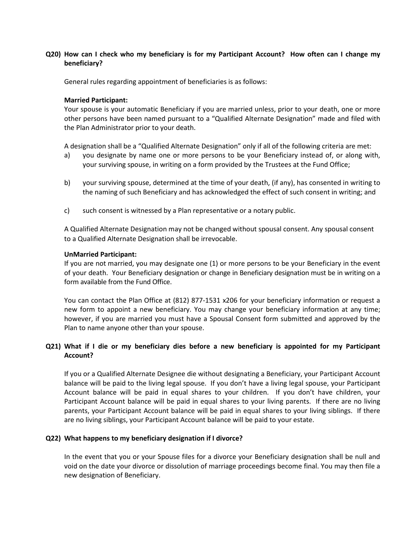## **Q20) How can I check who my beneficiary is for my Participant Account? How often can I change my beneficiary?**

General rules regarding appointment of beneficiaries is as follows:

## **Married Participant:**

Your spouse is your automatic Beneficiary if you are married unless, prior to your death, one or more other persons have been named pursuant to a "Qualified Alternate Designation" made and filed with the Plan Administrator prior to your death.

A designation shall be a "Qualified Alternate Designation" only if all of the following criteria are met:

- a) you designate by name one or more persons to be your Beneficiary instead of, or along with, your surviving spouse, in writing on a form provided by the Trustees at the Fund Office;
- b) your surviving spouse, determined at the time of your death, (if any), has consented in writing to the naming of such Beneficiary and has acknowledged the effect of such consent in writing; and
- c) such consent is witnessed by a Plan representative or a notary public.

A Qualified Alternate Designation may not be changed without spousal consent. Any spousal consent to a Qualified Alternate Designation shall be irrevocable.

## **UnMarried Participant:**

If you are not married, you may designate one (1) or more persons to be your Beneficiary in the event of your death. Your Beneficiary designation or change in Beneficiary designation must be in writing on a form available from the Fund Office.

You can contact the Plan Office at (812) 877-1531 x206 for your beneficiary information or request a new form to appoint a new beneficiary. You may change your beneficiary information at any time; however, if you are married you must have a Spousal Consent form submitted and approved by the Plan to name anyone other than your spouse.

## **Q21) What if I die or my beneficiary dies before a new beneficiary is appointed for my Participant Account?**

If you or a Qualified Alternate Designee die without designating a Beneficiary, your Participant Account balance will be paid to the living legal spouse. If you don't have a living legal spouse, your Participant Account balance will be paid in equal shares to your children. If you don't have children, your Participant Account balance will be paid in equal shares to your living parents. If there are no living parents, your Participant Account balance will be paid in equal shares to your living siblings. If there are no living siblings, your Participant Account balance will be paid to your estate.

## **Q22) What happens to my beneficiary designation if I divorce?**

In the event that you or your Spouse files for a divorce your Beneficiary designation shall be null and void on the date your divorce or dissolution of marriage proceedings become final. You may then file a new designation of Beneficiary.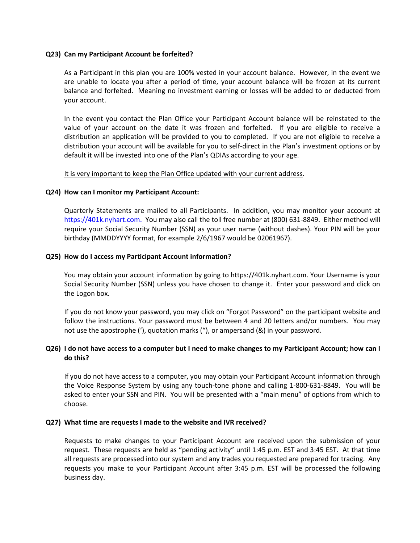#### **Q23) Can my Participant Account be forfeited?**

As a Participant in this plan you are 100% vested in your account balance. However, in the event we are unable to locate you after a period of time, your account balance will be frozen at its current balance and forfeited. Meaning no investment earning or losses will be added to or deducted from your account.

In the event you contact the Plan Office your Participant Account balance will be reinstated to the value of your account on the date it was frozen and forfeited. If you are eligible to receive a distribution an application will be provided to you to completed. If you are not eligible to receive a distribution your account will be available for you to self-direct in the Plan's investment options or by default it will be invested into one of the Plan's QDIAs according to your age.

## It is very important to keep the Plan Office updated with your current address.

## **Q24) How can I monitor my Participant Account:**

Quarterly Statements are mailed to all Participants. In addition, you may monitor your account at [https://401k.nyhart.com.](https://401k.nyhart.com/) You may also call the toll free number at (800) 631-8849. Either method will require your Social Security Number (SSN) as your user name (without dashes). Your PIN will be your birthday (MMDDYYYY format, for example 2/6/1967 would be 02061967).

## **Q25) How do I access my Participant Account information?**

You may obtain your account information by going to https://401k.nyhart.com. Your Username is your Social Security Number (SSN) unless you have chosen to change it. Enter your password and click on the Logon box.

If you do not know your password, you may click on "Forgot Password" on the participant website and follow the instructions. Your password must be between 4 and 20 letters and/or numbers. You may not use the apostrophe ('), quotation marks ("), or ampersand (&) in your password.

## **Q26) I do not have access to a computer but I need to make changes to my Participant Account; how can I do this?**

If you do not have access to a computer, you may obtain your Participant Account information through the Voice Response System by using any touch-tone phone and calling 1-800-631-8849. You will be asked to enter your SSN and PIN. You will be presented with a "main menu" of options from which to choose.

## **Q27) What time are requests I made to the website and IVR received?**

Requests to make changes to your Participant Account are received upon the submission of your request. These requests are held as "pending activity" until 1:45 p.m. EST and 3:45 EST. At that time all requests are processed into our system and any trades you requested are prepared for trading. Any requests you make to your Participant Account after 3:45 p.m. EST will be processed the following business day.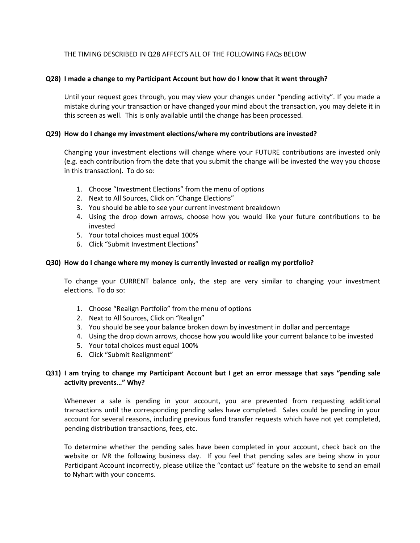## THE TIMING DESCRIBED IN Q28 AFFECTS ALL OF THE FOLLOWING FAQs BELOW

## **Q28) I made a change to my Participant Account but how do I know that it went through?**

Until your request goes through, you may view your changes under "pending activity". If you made a mistake during your transaction or have changed your mind about the transaction, you may delete it in this screen as well. This is only available until the change has been processed.

#### **Q29) How do I change my investment elections/where my contributions are invested?**

Changing your investment elections will change where your FUTURE contributions are invested only (e.g. each contribution from the date that you submit the change will be invested the way you choose in this transaction). To do so:

- 1. Choose "Investment Elections" from the menu of options
- 2. Next to All Sources, Click on "Change Elections"
- 3. You should be able to see your current investment breakdown
- 4. Using the drop down arrows, choose how you would like your future contributions to be invested
- 5. Your total choices must equal 100%
- 6. Click "Submit Investment Elections"

#### **Q30) How do I change where my money is currently invested or realign my portfolio?**

To change your CURRENT balance only, the step are very similar to changing your investment elections. To do so:

- 1. Choose "Realign Portfolio" from the menu of options
- 2. Next to All Sources, Click on "Realign"
- 3. You should be see your balance broken down by investment in dollar and percentage
- 4. Using the drop down arrows, choose how you would like your current balance to be invested
- 5. Your total choices must equal 100%
- 6. Click "Submit Realignment"

## **Q31) I am trying to change my Participant Account but I get an error message that says "pending sale activity prevents…" Why?**

Whenever a sale is pending in your account, you are prevented from requesting additional transactions until the corresponding pending sales have completed. Sales could be pending in your account for several reasons, including previous fund transfer requests which have not yet completed, pending distribution transactions, fees, etc.

To determine whether the pending sales have been completed in your account, check back on the website or IVR the following business day. If you feel that pending sales are being show in your Participant Account incorrectly, please utilize the "contact us" feature on the website to send an email to Nyhart with your concerns.